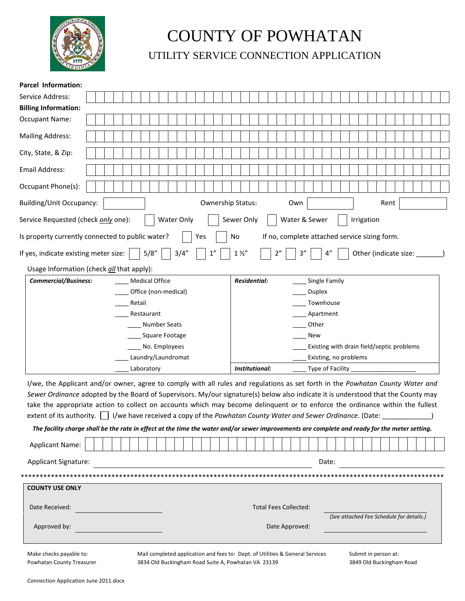

## COUNTY OF POWHATAN

UTILITY SERVICE CONNECTION APPLICATION

| <b>Parcel Information:</b>                                                                                                                                                                                                                                                                                                                                                                                                                                                                                              |  |  |                       |       |  |                      |                |     |  |    |  |                                  |                     |  |                                               |  |  |                |  |                       |    |       |  |            |  |  |                                           |  |  |  |
|-------------------------------------------------------------------------------------------------------------------------------------------------------------------------------------------------------------------------------------------------------------------------------------------------------------------------------------------------------------------------------------------------------------------------------------------------------------------------------------------------------------------------|--|--|-----------------------|-------|--|----------------------|----------------|-----|--|----|--|----------------------------------|---------------------|--|-----------------------------------------------|--|--|----------------|--|-----------------------|----|-------|--|------------|--|--|-------------------------------------------|--|--|--|
| Service Address:                                                                                                                                                                                                                                                                                                                                                                                                                                                                                                        |  |  |                       |       |  |                      |                |     |  |    |  |                                  |                     |  |                                               |  |  |                |  |                       |    |       |  |            |  |  |                                           |  |  |  |
| <b>Billing Information:</b>                                                                                                                                                                                                                                                                                                                                                                                                                                                                                             |  |  |                       |       |  |                      |                |     |  |    |  |                                  |                     |  |                                               |  |  |                |  |                       |    |       |  |            |  |  |                                           |  |  |  |
| <b>Occupant Name:</b>                                                                                                                                                                                                                                                                                                                                                                                                                                                                                                   |  |  |                       |       |  |                      |                |     |  |    |  |                                  |                     |  |                                               |  |  |                |  |                       |    |       |  |            |  |  |                                           |  |  |  |
| <b>Mailing Address:</b>                                                                                                                                                                                                                                                                                                                                                                                                                                                                                                 |  |  |                       |       |  |                      |                |     |  |    |  |                                  |                     |  |                                               |  |  |                |  |                       |    |       |  |            |  |  |                                           |  |  |  |
| City, State, & Zip:                                                                                                                                                                                                                                                                                                                                                                                                                                                                                                     |  |  |                       |       |  |                      |                |     |  |    |  |                                  |                     |  |                                               |  |  |                |  |                       |    |       |  |            |  |  |                                           |  |  |  |
| <b>Email Address:</b>                                                                                                                                                                                                                                                                                                                                                                                                                                                                                                   |  |  |                       |       |  |                      |                |     |  |    |  |                                  |                     |  |                                               |  |  |                |  |                       |    |       |  |            |  |  |                                           |  |  |  |
| Occupant Phone(s):                                                                                                                                                                                                                                                                                                                                                                                                                                                                                                      |  |  |                       |       |  |                      |                |     |  |    |  |                                  |                     |  |                                               |  |  |                |  |                       |    |       |  |            |  |  |                                           |  |  |  |
| <b>Building/Unit Occupancy:</b>                                                                                                                                                                                                                                                                                                                                                                                                                                                                                         |  |  |                       |       |  |                      |                |     |  |    |  | Ownership Status:<br>Own<br>Rent |                     |  |                                               |  |  |                |  |                       |    |       |  |            |  |  |                                           |  |  |  |
| Service Requested (check only one):                                                                                                                                                                                                                                                                                                                                                                                                                                                                                     |  |  |                       |       |  | Water Only           |                |     |  |    |  |                                  | Sewer Only          |  |                                               |  |  |                |  | Water & Sewer         |    |       |  | Irrigation |  |  |                                           |  |  |  |
| Is property currently connected to public water?                                                                                                                                                                                                                                                                                                                                                                                                                                                                        |  |  |                       |       |  |                      |                | Yes |  |    |  | No                               |                     |  | If no, complete attached service sizing form. |  |  |                |  |                       |    |       |  |            |  |  |                                           |  |  |  |
| If yes, indicate existing meter size:                                                                                                                                                                                                                                                                                                                                                                                                                                                                                   |  |  |                       | 5/8'' |  |                      | 3/4''          |     |  | 1" |  |                                  | $1\frac{1}{2}$      |  |                                               |  |  | 3''            |  |                       | 4" |       |  |            |  |  | Other (indicate size:                     |  |  |  |
| Usage Information (check all that apply):                                                                                                                                                                                                                                                                                                                                                                                                                                                                               |  |  |                       |       |  |                      |                |     |  |    |  |                                  |                     |  |                                               |  |  |                |  |                       |    |       |  |            |  |  |                                           |  |  |  |
| <b>Commercial/Business:</b>                                                                                                                                                                                                                                                                                                                                                                                                                                                                                             |  |  | <b>Medical Office</b> |       |  |                      |                |     |  |    |  |                                  | <b>Residential:</b> |  |                                               |  |  |                |  | Single Family         |    |       |  |            |  |  |                                           |  |  |  |
|                                                                                                                                                                                                                                                                                                                                                                                                                                                                                                                         |  |  |                       |       |  | Office (non-medical) |                |     |  |    |  |                                  |                     |  |                                               |  |  |                |  | <b>Duplex</b>         |    |       |  |            |  |  |                                           |  |  |  |
|                                                                                                                                                                                                                                                                                                                                                                                                                                                                                                                         |  |  | Retail                |       |  |                      |                |     |  |    |  |                                  |                     |  |                                               |  |  |                |  | Townhouse             |    |       |  |            |  |  |                                           |  |  |  |
|                                                                                                                                                                                                                                                                                                                                                                                                                                                                                                                         |  |  | Restaurant            |       |  |                      |                |     |  |    |  |                                  | Apartment           |  |                                               |  |  |                |  |                       |    |       |  |            |  |  |                                           |  |  |  |
|                                                                                                                                                                                                                                                                                                                                                                                                                                                                                                                         |  |  |                       |       |  | Number Seats         |                |     |  |    |  |                                  | Other               |  |                                               |  |  |                |  |                       |    |       |  |            |  |  |                                           |  |  |  |
|                                                                                                                                                                                                                                                                                                                                                                                                                                                                                                                         |  |  |                       |       |  | ___ Square Footage   |                |     |  |    |  |                                  |                     |  |                                               |  |  |                |  | New                   |    |       |  |            |  |  |                                           |  |  |  |
|                                                                                                                                                                                                                                                                                                                                                                                                                                                                                                                         |  |  |                       |       |  | No. Employees        |                |     |  |    |  |                                  |                     |  |                                               |  |  |                |  |                       |    |       |  |            |  |  | Existing with drain field/septic problems |  |  |  |
|                                                                                                                                                                                                                                                                                                                                                                                                                                                                                                                         |  |  |                       |       |  | Laundry/Laundromat   |                |     |  |    |  |                                  |                     |  |                                               |  |  |                |  | Existing, no problems |    |       |  |            |  |  |                                           |  |  |  |
|                                                                                                                                                                                                                                                                                                                                                                                                                                                                                                                         |  |  | Laboratory            |       |  |                      | Institutional: |     |  |    |  |                                  |                     |  | Type of Facility                              |  |  |                |  |                       |    |       |  |            |  |  |                                           |  |  |  |
| I/we, the Applicant and/or owner, agree to comply with all rules and regulations as set forth in the Powhatan County Water and<br>Sewer Ordinance adopted by the Board of Supervisors. My/our signature(s) below also indicate it is understood that the County may<br>take the appropriate action to collect on accounts which may become delinguent or to enforce the ordinance within the fullest<br>extent of its authority.     I/we have received a copy of the Powhatan County Water and Sewer Ordinance. (Date: |  |  |                       |       |  |                      |                |     |  |    |  |                                  |                     |  |                                               |  |  |                |  |                       |    |       |  |            |  |  |                                           |  |  |  |
| The facility charge shall be the rate in effect at the time the water and/or sewer improvements are complete and ready for the meter setting.                                                                                                                                                                                                                                                                                                                                                                           |  |  |                       |       |  |                      |                |     |  |    |  |                                  |                     |  |                                               |  |  |                |  |                       |    |       |  |            |  |  |                                           |  |  |  |
| <b>Applicant Name:</b>                                                                                                                                                                                                                                                                                                                                                                                                                                                                                                  |  |  |                       |       |  |                      |                |     |  |    |  |                                  |                     |  |                                               |  |  |                |  |                       |    |       |  |            |  |  |                                           |  |  |  |
| <b>Applicant Signature:</b>                                                                                                                                                                                                                                                                                                                                                                                                                                                                                             |  |  |                       |       |  |                      |                |     |  |    |  |                                  |                     |  |                                               |  |  |                |  |                       |    | Date: |  |            |  |  |                                           |  |  |  |
|                                                                                                                                                                                                                                                                                                                                                                                                                                                                                                                         |  |  |                       |       |  |                      |                |     |  |    |  |                                  |                     |  |                                               |  |  |                |  |                       |    |       |  |            |  |  |                                           |  |  |  |
| <b>COUNTY USE ONLY</b>                                                                                                                                                                                                                                                                                                                                                                                                                                                                                                  |  |  |                       |       |  |                      |                |     |  |    |  |                                  |                     |  |                                               |  |  |                |  |                       |    |       |  |            |  |  |                                           |  |  |  |
| Date Received:                                                                                                                                                                                                                                                                                                                                                                                                                                                                                                          |  |  |                       |       |  |                      |                |     |  |    |  |                                  |                     |  | <b>Total Fees Collected:</b>                  |  |  |                |  |                       |    |       |  |            |  |  |                                           |  |  |  |
| Approved by:                                                                                                                                                                                                                                                                                                                                                                                                                                                                                                            |  |  |                       |       |  |                      |                |     |  |    |  |                                  |                     |  |                                               |  |  | Date Approved: |  |                       |    |       |  |            |  |  | (See attached Fee Schedule for details.)  |  |  |  |

Make checks payable to: Powhatan County Treasurer Mail completed application and fees to: Dept. of Utilities & General Services 3834 Old Buckingham Road Suite A, Powhatan VA 23139

Submit in person at: 3849 Old Buckingham Road